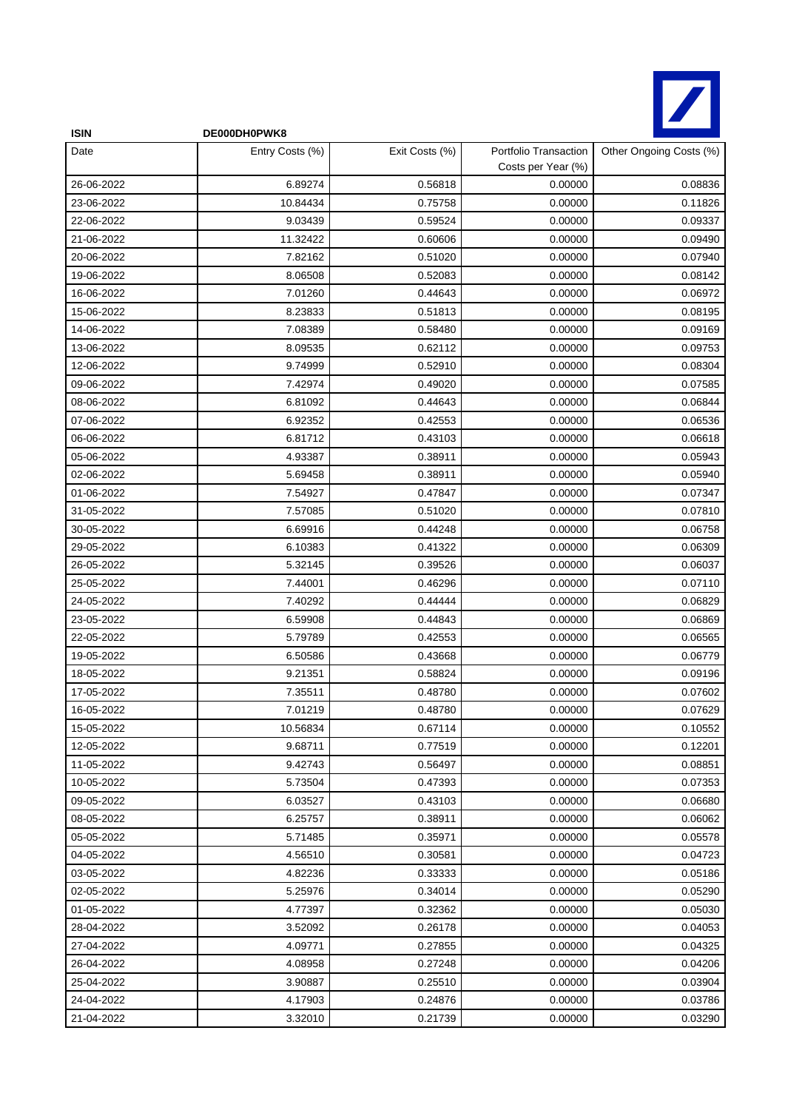

| <b>ISIN</b> | DE000DH0PWK8    |                |                                             |                         |
|-------------|-----------------|----------------|---------------------------------------------|-------------------------|
| Date        | Entry Costs (%) | Exit Costs (%) | Portfolio Transaction<br>Costs per Year (%) | Other Ongoing Costs (%) |
| 26-06-2022  | 6.89274         | 0.56818        | 0.00000                                     | 0.08836                 |
| 23-06-2022  | 10.84434        | 0.75758        | 0.00000                                     | 0.11826                 |
| 22-06-2022  | 9.03439         | 0.59524        | 0.00000                                     | 0.09337                 |
| 21-06-2022  | 11.32422        | 0.60606        | 0.00000                                     | 0.09490                 |
| 20-06-2022  | 7.82162         | 0.51020        | 0.00000                                     | 0.07940                 |
| 19-06-2022  | 8.06508         | 0.52083        | 0.00000                                     | 0.08142                 |
| 16-06-2022  | 7.01260         | 0.44643        | 0.00000                                     | 0.06972                 |
| 15-06-2022  | 8.23833         | 0.51813        | 0.00000                                     | 0.08195                 |
| 14-06-2022  | 7.08389         | 0.58480        | 0.00000                                     | 0.09169                 |
| 13-06-2022  | 8.09535         | 0.62112        | 0.00000                                     | 0.09753                 |
| 12-06-2022  | 9.74999         | 0.52910        | 0.00000                                     | 0.08304                 |
| 09-06-2022  | 7.42974         | 0.49020        | 0.00000                                     | 0.07585                 |
| 08-06-2022  | 6.81092         | 0.44643        | 0.00000                                     | 0.06844                 |
| 07-06-2022  | 6.92352         | 0.42553        | 0.00000                                     | 0.06536                 |
| 06-06-2022  | 6.81712         | 0.43103        | 0.00000                                     | 0.06618                 |
| 05-06-2022  | 4.93387         | 0.38911        | 0.00000                                     | 0.05943                 |
| 02-06-2022  | 5.69458         | 0.38911        | 0.00000                                     | 0.05940                 |
| 01-06-2022  | 7.54927         | 0.47847        | 0.00000                                     | 0.07347                 |
| 31-05-2022  | 7.57085         | 0.51020        | 0.00000                                     | 0.07810                 |
| 30-05-2022  | 6.69916         | 0.44248        | 0.00000                                     | 0.06758                 |
| 29-05-2022  | 6.10383         | 0.41322        | 0.00000                                     | 0.06309                 |
| 26-05-2022  | 5.32145         | 0.39526        | 0.00000                                     | 0.06037                 |
| 25-05-2022  | 7.44001         | 0.46296        | 0.00000                                     | 0.07110                 |
| 24-05-2022  | 7.40292         | 0.44444        | 0.00000                                     | 0.06829                 |
| 23-05-2022  | 6.59908         | 0.44843        | 0.00000                                     | 0.06869                 |
| 22-05-2022  | 5.79789         | 0.42553        | 0.00000                                     | 0.06565                 |
| 19-05-2022  | 6.50586         | 0.43668        | 0.00000                                     | 0.06779                 |
| 18-05-2022  | 9.21351         | 0.58824        | 0.00000                                     | 0.09196                 |
| 17-05-2022  | 7.35511         | 0.48780        | 0.00000                                     | 0.07602                 |
| 16-05-2022  | 7.01219         | 0.48780        | 0.00000                                     | 0.07629                 |
| 15-05-2022  | 10.56834        | 0.67114        | 0.00000                                     | 0.10552                 |
| 12-05-2022  | 9.68711         | 0.77519        | 0.00000                                     | 0.12201                 |
| 11-05-2022  | 9.42743         | 0.56497        | 0.00000                                     | 0.08851                 |
| 10-05-2022  | 5.73504         | 0.47393        | 0.00000                                     | 0.07353                 |
| 09-05-2022  | 6.03527         | 0.43103        | 0.00000                                     | 0.06680                 |
| 08-05-2022  | 6.25757         | 0.38911        | 0.00000                                     | 0.06062                 |
| 05-05-2022  | 5.71485         | 0.35971        | 0.00000                                     | 0.05578                 |
| 04-05-2022  | 4.56510         | 0.30581        | 0.00000                                     | 0.04723                 |
| 03-05-2022  | 4.82236         | 0.33333        | 0.00000                                     | 0.05186                 |
| 02-05-2022  | 5.25976         | 0.34014        | 0.00000                                     | 0.05290                 |
| 01-05-2022  | 4.77397         | 0.32362        | 0.00000                                     | 0.05030                 |
| 28-04-2022  | 3.52092         | 0.26178        | 0.00000                                     | 0.04053                 |
| 27-04-2022  | 4.09771         | 0.27855        | 0.00000                                     | 0.04325                 |
| 26-04-2022  | 4.08958         | 0.27248        | 0.00000                                     | 0.04206                 |
| 25-04-2022  | 3.90887         | 0.25510        | 0.00000                                     | 0.03904                 |
| 24-04-2022  | 4.17903         | 0.24876        | 0.00000                                     | 0.03786                 |
| 21-04-2022  | 3.32010         | 0.21739        | 0.00000                                     | 0.03290                 |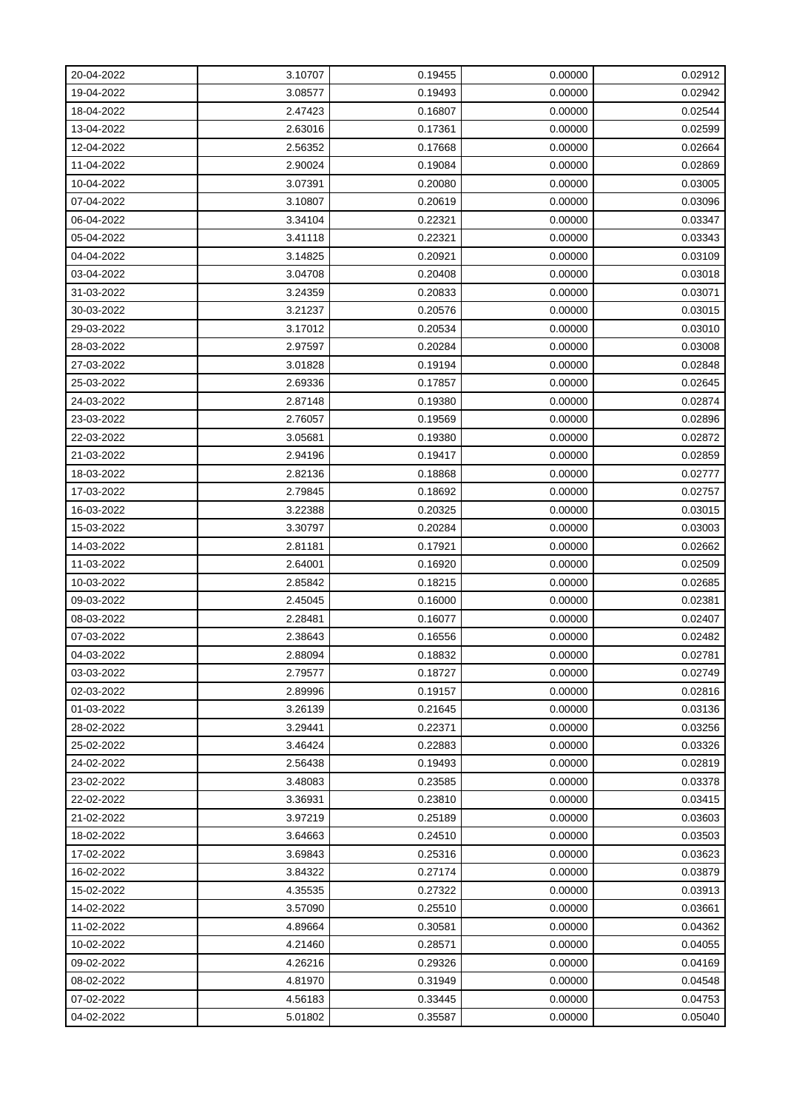| 20-04-2022 | 3.10707 | 0.19455 | 0.00000 | 0.02912 |
|------------|---------|---------|---------|---------|
| 19-04-2022 | 3.08577 | 0.19493 | 0.00000 | 0.02942 |
| 18-04-2022 | 2.47423 | 0.16807 | 0.00000 | 0.02544 |
| 13-04-2022 | 2.63016 | 0.17361 | 0.00000 | 0.02599 |
| 12-04-2022 | 2.56352 | 0.17668 | 0.00000 | 0.02664 |
| 11-04-2022 | 2.90024 | 0.19084 | 0.00000 | 0.02869 |
| 10-04-2022 | 3.07391 | 0.20080 | 0.00000 | 0.03005 |
| 07-04-2022 | 3.10807 | 0.20619 | 0.00000 | 0.03096 |
| 06-04-2022 | 3.34104 | 0.22321 | 0.00000 | 0.03347 |
| 05-04-2022 | 3.41118 | 0.22321 | 0.00000 | 0.03343 |
| 04-04-2022 | 3.14825 | 0.20921 | 0.00000 | 0.03109 |
| 03-04-2022 | 3.04708 | 0.20408 | 0.00000 | 0.03018 |
| 31-03-2022 | 3.24359 | 0.20833 | 0.00000 | 0.03071 |
| 30-03-2022 | 3.21237 | 0.20576 | 0.00000 | 0.03015 |
| 29-03-2022 | 3.17012 | 0.20534 | 0.00000 | 0.03010 |
| 28-03-2022 | 2.97597 | 0.20284 | 0.00000 | 0.03008 |
| 27-03-2022 | 3.01828 | 0.19194 | 0.00000 | 0.02848 |
| 25-03-2022 | 2.69336 | 0.17857 | 0.00000 | 0.02645 |
| 24-03-2022 | 2.87148 | 0.19380 | 0.00000 | 0.02874 |
| 23-03-2022 | 2.76057 | 0.19569 | 0.00000 | 0.02896 |
| 22-03-2022 | 3.05681 | 0.19380 | 0.00000 | 0.02872 |
| 21-03-2022 | 2.94196 | 0.19417 | 0.00000 | 0.02859 |
| 18-03-2022 | 2.82136 | 0.18868 | 0.00000 | 0.02777 |
| 17-03-2022 | 2.79845 | 0.18692 | 0.00000 | 0.02757 |
| 16-03-2022 | 3.22388 | 0.20325 | 0.00000 | 0.03015 |
| 15-03-2022 | 3.30797 | 0.20284 | 0.00000 | 0.03003 |
| 14-03-2022 | 2.81181 | 0.17921 | 0.00000 | 0.02662 |
| 11-03-2022 | 2.64001 | 0.16920 | 0.00000 | 0.02509 |
| 10-03-2022 | 2.85842 | 0.18215 | 0.00000 | 0.02685 |
| 09-03-2022 | 2.45045 | 0.16000 | 0.00000 | 0.02381 |
| 08-03-2022 | 2.28481 | 0.16077 | 0.00000 | 0.02407 |
| 07-03-2022 | 2.38643 | 0.16556 | 0.00000 | 0.02482 |
| 04-03-2022 | 2.88094 | 0.18832 | 0.00000 | 0.02781 |
| 03-03-2022 | 2.79577 | 0.18727 | 0.00000 | 0.02749 |
| 02-03-2022 | 2.89996 | 0.19157 | 0.00000 | 0.02816 |
| 01-03-2022 | 3.26139 | 0.21645 | 0.00000 | 0.03136 |
| 28-02-2022 | 3.29441 | 0.22371 | 0.00000 | 0.03256 |
| 25-02-2022 | 3.46424 | 0.22883 | 0.00000 | 0.03326 |
| 24-02-2022 | 2.56438 | 0.19493 | 0.00000 | 0.02819 |
| 23-02-2022 | 3.48083 | 0.23585 | 0.00000 | 0.03378 |
| 22-02-2022 | 3.36931 | 0.23810 | 0.00000 | 0.03415 |
| 21-02-2022 | 3.97219 | 0.25189 | 0.00000 | 0.03603 |
| 18-02-2022 | 3.64663 | 0.24510 | 0.00000 | 0.03503 |
| 17-02-2022 | 3.69843 | 0.25316 | 0.00000 | 0.03623 |
| 16-02-2022 | 3.84322 | 0.27174 | 0.00000 | 0.03879 |
| 15-02-2022 | 4.35535 | 0.27322 | 0.00000 | 0.03913 |
| 14-02-2022 | 3.57090 | 0.25510 | 0.00000 | 0.03661 |
| 11-02-2022 | 4.89664 | 0.30581 | 0.00000 | 0.04362 |
| 10-02-2022 | 4.21460 | 0.28571 | 0.00000 | 0.04055 |
| 09-02-2022 | 4.26216 | 0.29326 | 0.00000 | 0.04169 |
| 08-02-2022 | 4.81970 | 0.31949 | 0.00000 | 0.04548 |
| 07-02-2022 | 4.56183 | 0.33445 | 0.00000 | 0.04753 |
| 04-02-2022 | 5.01802 | 0.35587 | 0.00000 | 0.05040 |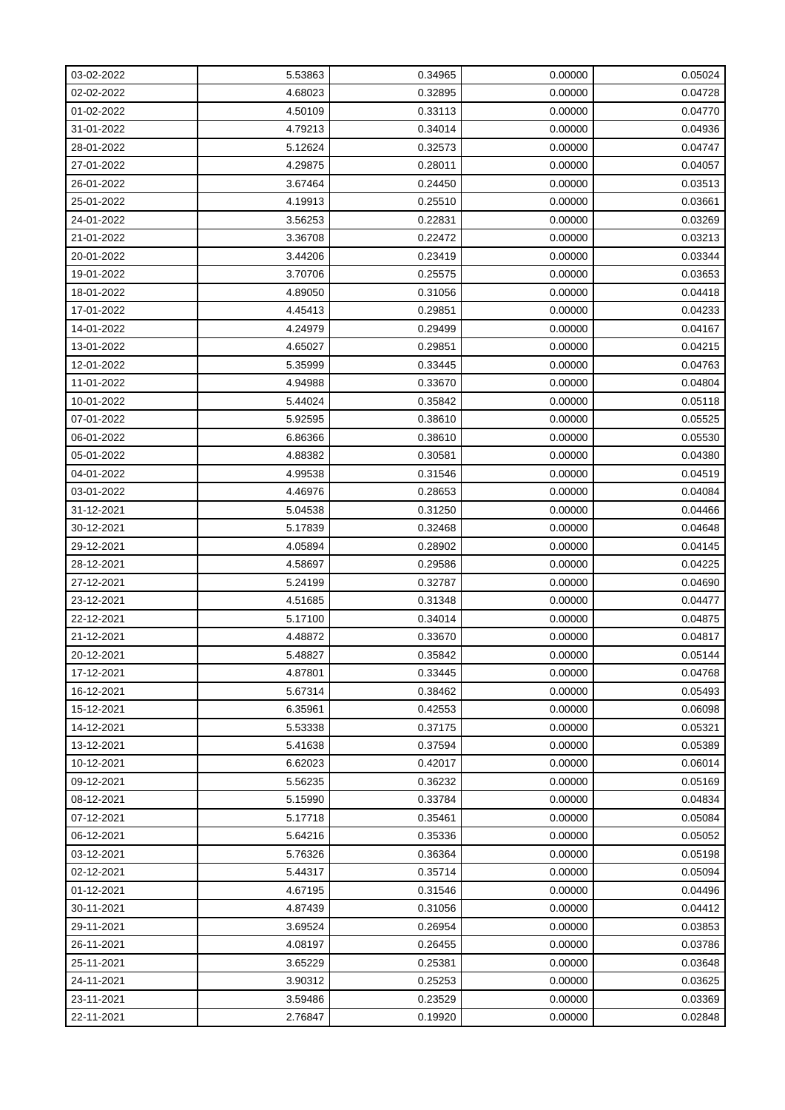| 03-02-2022 | 5.53863 | 0.34965 | 0.00000 | 0.05024 |
|------------|---------|---------|---------|---------|
| 02-02-2022 | 4.68023 | 0.32895 | 0.00000 | 0.04728 |
| 01-02-2022 | 4.50109 | 0.33113 | 0.00000 | 0.04770 |
| 31-01-2022 | 4.79213 | 0.34014 | 0.00000 | 0.04936 |
| 28-01-2022 | 5.12624 | 0.32573 | 0.00000 | 0.04747 |
| 27-01-2022 | 4.29875 | 0.28011 | 0.00000 | 0.04057 |
| 26-01-2022 | 3.67464 | 0.24450 | 0.00000 | 0.03513 |
| 25-01-2022 | 4.19913 | 0.25510 | 0.00000 | 0.03661 |
| 24-01-2022 | 3.56253 | 0.22831 | 0.00000 | 0.03269 |
| 21-01-2022 | 3.36708 | 0.22472 | 0.00000 | 0.03213 |
| 20-01-2022 | 3.44206 | 0.23419 | 0.00000 | 0.03344 |
| 19-01-2022 | 3.70706 | 0.25575 | 0.00000 | 0.03653 |
| 18-01-2022 | 4.89050 | 0.31056 | 0.00000 | 0.04418 |
| 17-01-2022 | 4.45413 | 0.29851 | 0.00000 | 0.04233 |
| 14-01-2022 | 4.24979 | 0.29499 | 0.00000 | 0.04167 |
| 13-01-2022 | 4.65027 | 0.29851 | 0.00000 | 0.04215 |
| 12-01-2022 | 5.35999 | 0.33445 | 0.00000 | 0.04763 |
| 11-01-2022 | 4.94988 | 0.33670 | 0.00000 | 0.04804 |
| 10-01-2022 | 5.44024 | 0.35842 | 0.00000 | 0.05118 |
| 07-01-2022 | 5.92595 | 0.38610 | 0.00000 | 0.05525 |
| 06-01-2022 | 6.86366 | 0.38610 | 0.00000 | 0.05530 |
| 05-01-2022 | 4.88382 | 0.30581 | 0.00000 | 0.04380 |
| 04-01-2022 | 4.99538 | 0.31546 | 0.00000 | 0.04519 |
| 03-01-2022 | 4.46976 | 0.28653 | 0.00000 | 0.04084 |
| 31-12-2021 | 5.04538 | 0.31250 | 0.00000 | 0.04466 |
| 30-12-2021 | 5.17839 | 0.32468 | 0.00000 | 0.04648 |
| 29-12-2021 | 4.05894 | 0.28902 | 0.00000 | 0.04145 |
| 28-12-2021 | 4.58697 | 0.29586 | 0.00000 | 0.04225 |
| 27-12-2021 | 5.24199 | 0.32787 | 0.00000 | 0.04690 |
| 23-12-2021 | 4.51685 | 0.31348 | 0.00000 | 0.04477 |
| 22-12-2021 | 5.17100 | 0.34014 | 0.00000 | 0.04875 |
| 21-12-2021 | 4.48872 | 0.33670 | 0.00000 | 0.04817 |
| 20-12-2021 | 5.48827 | 0.35842 | 0.00000 | 0.05144 |
| 17-12-2021 | 4.87801 | 0.33445 | 0.00000 | 0.04768 |
| 16-12-2021 | 5.67314 | 0.38462 | 0.00000 | 0.05493 |
| 15-12-2021 | 6.35961 | 0.42553 | 0.00000 | 0.06098 |
| 14-12-2021 | 5.53338 | 0.37175 | 0.00000 | 0.05321 |
| 13-12-2021 | 5.41638 | 0.37594 | 0.00000 | 0.05389 |
| 10-12-2021 | 6.62023 | 0.42017 | 0.00000 | 0.06014 |
| 09-12-2021 | 5.56235 | 0.36232 | 0.00000 | 0.05169 |
| 08-12-2021 | 5.15990 | 0.33784 | 0.00000 | 0.04834 |
| 07-12-2021 | 5.17718 | 0.35461 | 0.00000 | 0.05084 |
| 06-12-2021 | 5.64216 | 0.35336 | 0.00000 | 0.05052 |
| 03-12-2021 | 5.76326 | 0.36364 | 0.00000 | 0.05198 |
| 02-12-2021 | 5.44317 | 0.35714 | 0.00000 | 0.05094 |
| 01-12-2021 | 4.67195 | 0.31546 | 0.00000 | 0.04496 |
| 30-11-2021 | 4.87439 | 0.31056 | 0.00000 | 0.04412 |
| 29-11-2021 | 3.69524 | 0.26954 | 0.00000 | 0.03853 |
| 26-11-2021 | 4.08197 | 0.26455 | 0.00000 | 0.03786 |
| 25-11-2021 | 3.65229 | 0.25381 | 0.00000 | 0.03648 |
| 24-11-2021 | 3.90312 | 0.25253 | 0.00000 | 0.03625 |
| 23-11-2021 | 3.59486 | 0.23529 | 0.00000 | 0.03369 |
| 22-11-2021 | 2.76847 | 0.19920 | 0.00000 | 0.02848 |